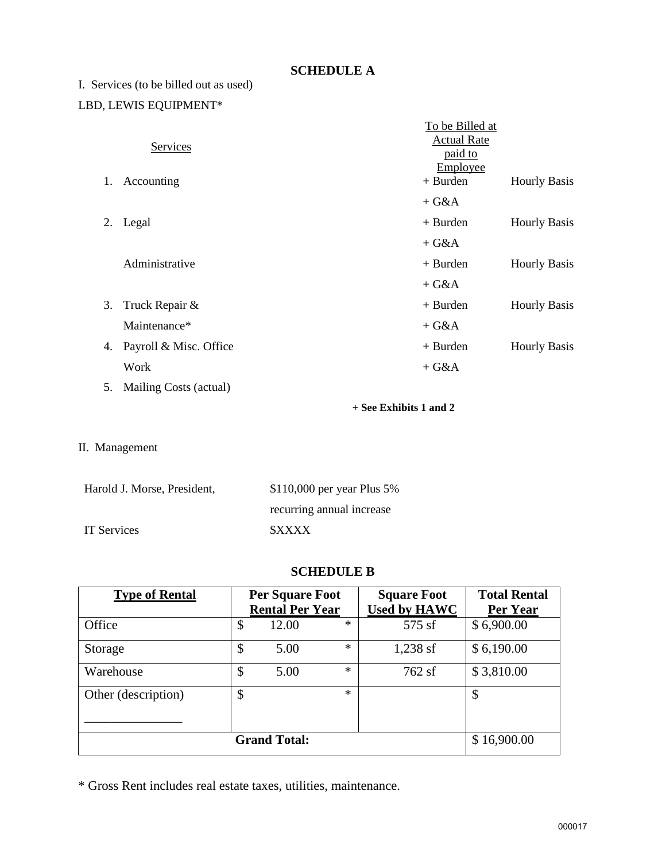### **SCHEDULE A**

# I. Services (to be billed out as used) LBD, LEWIS EQUIPMENT\*

|    |                        | To be Billed at<br><b>Actual Rate</b> |                     |  |
|----|------------------------|---------------------------------------|---------------------|--|
|    | Services               | paid to<br>Employee                   |                     |  |
| 1. | Accounting             | $+$ Burden                            | <b>Hourly Basis</b> |  |
|    |                        | $+ G&A$                               |                     |  |
| 2. | Legal                  | $+$ Burden                            | <b>Hourly Basis</b> |  |
|    |                        | $+ G&A$                               |                     |  |
|    | Administrative         | $+$ Burden                            | <b>Hourly Basis</b> |  |
|    |                        | $+ G&A$                               |                     |  |
| 3. | Truck Repair &         | $+$ Burden                            | <b>Hourly Basis</b> |  |
|    | Maintenance*           | $+ G&A$                               |                     |  |
| 4. | Payroll & Misc. Office | $+$ Burden                            | <b>Hourly Basis</b> |  |
|    | Work                   | $+ G&A$                               |                     |  |
| 5. | Mailing Costs (actual) |                                       |                     |  |

**+ See Exhibits 1 and 2**

II. Management

| Harold J. Morse, President, | $$110,000$ per year Plus 5% |
|-----------------------------|-----------------------------|
|                             | recurring annual increase   |
| IT Services                 | <b>SXXXX</b>                |

#### **SCHEDULE B**

| <b>Type of Rental</b> | <b>Per Square Foot</b><br><b>Rental Per Year</b> |       | <b>Square Foot</b><br><b>Used by HAWC</b> | <b>Total Rental</b><br>Per Year |             |
|-----------------------|--------------------------------------------------|-------|-------------------------------------------|---------------------------------|-------------|
| Office                | \$                                               | 12.00 | $\ast$                                    | 575 sf                          | \$6,900.00  |
| Storage               | \$                                               | 5.00  | $\ast$                                    | $1,238$ sf                      | \$6,190.00  |
| Warehouse             | \$                                               | 5.00  | $\ast$                                    | 762sf                           | \$3,810.00  |
| Other (description)   | \$                                               |       | $\ast$                                    |                                 | \$          |
| <b>Grand Total:</b>   |                                                  |       |                                           |                                 | \$16,900.00 |

\* Gross Rent includes real estate taxes, utilities, maintenance.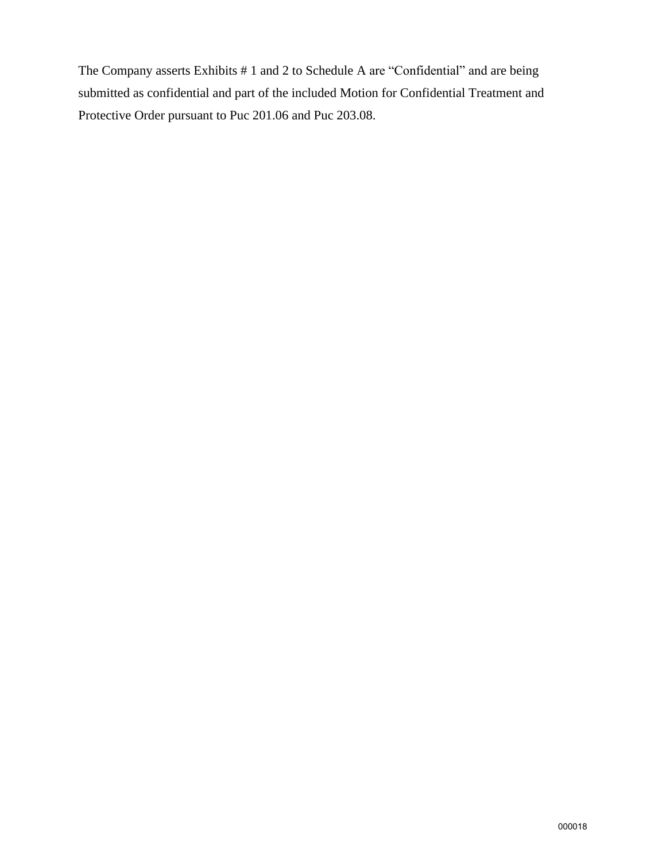The Company asserts Exhibits # 1 and 2 to Schedule A are "Confidential" and are being submitted as confidential and part of the included Motion for Confidential Treatment and Protective Order pursuant to Puc 201.06 and Puc 203.08.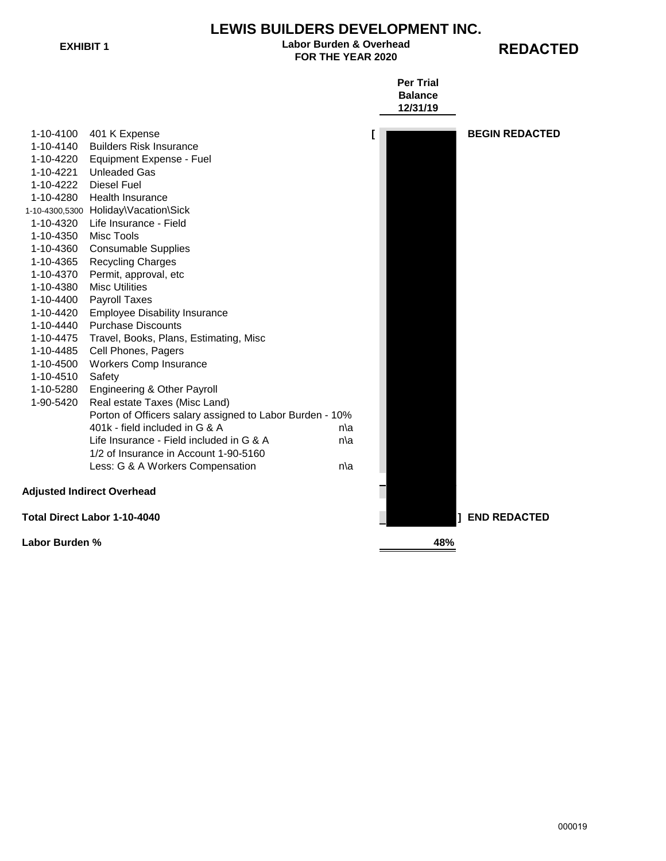# **LEWIS BUILDERS DEVELOPMENT INC.**

#### EXHIBIT 1 **EXHIBIT 1 REDACTED Labor Burden & Overhead**

|                                                       |                                                          |     | <b>Per Trial</b><br><b>Balance</b> |                       |  |
|-------------------------------------------------------|----------------------------------------------------------|-----|------------------------------------|-----------------------|--|
|                                                       |                                                          |     | 12/31/19                           |                       |  |
|                                                       | 1-10-4100 401 K Expense                                  |     | L                                  | <b>BEGIN REDACTED</b> |  |
|                                                       | 1-10-4140 Builders Risk Insurance                        |     |                                    |                       |  |
|                                                       | 1-10-4220 Equipment Expense - Fuel                       |     |                                    |                       |  |
| 1-10-4221                                             | <b>Unleaded Gas</b>                                      |     |                                    |                       |  |
|                                                       | 1-10-4222 Diesel Fuel                                    |     |                                    |                       |  |
| 1-10-4280                                             | <b>Health Insurance</b>                                  |     |                                    |                       |  |
|                                                       | 1-10-4300,5300 Holiday\Vacation\Sick                     |     |                                    |                       |  |
|                                                       | 1-10-4320 Life Insurance - Field                         |     |                                    |                       |  |
| 1-10-4350                                             | Misc Tools                                               |     |                                    |                       |  |
| 1-10-4360                                             | <b>Consumable Supplies</b>                               |     |                                    |                       |  |
| 1-10-4365                                             | <b>Recycling Charges</b>                                 |     |                                    |                       |  |
| 1-10-4370                                             | Permit, approval, etc                                    |     |                                    |                       |  |
| 1-10-4380                                             | <b>Misc Utilities</b>                                    |     |                                    |                       |  |
| 1-10-4400                                             | Payroll Taxes                                            |     |                                    |                       |  |
| 1-10-4420                                             | <b>Employee Disability Insurance</b>                     |     |                                    |                       |  |
| 1-10-4440                                             | <b>Purchase Discounts</b>                                |     |                                    |                       |  |
| 1-10-4475                                             | Travel, Books, Plans, Estimating, Misc                   |     |                                    |                       |  |
| 1-10-4485                                             | Cell Phones, Pagers                                      |     |                                    |                       |  |
| 1-10-4500                                             | <b>Workers Comp Insurance</b>                            |     |                                    |                       |  |
| 1-10-4510                                             | Safety                                                   |     |                                    |                       |  |
| 1-10-5280                                             | Engineering & Other Payroll                              |     |                                    |                       |  |
| 1-90-5420                                             | Real estate Taxes (Misc Land)                            |     |                                    |                       |  |
|                                                       | Porton of Officers salary assigned to Labor Burden - 10% |     |                                    |                       |  |
|                                                       | 401k - field included in G & A                           | n\a |                                    |                       |  |
|                                                       | Life Insurance - Field included in G & A                 | n\a |                                    |                       |  |
|                                                       | 1/2 of Insurance in Account 1-90-5160                    |     |                                    |                       |  |
|                                                       | Less: G & A Workers Compensation                         | n\a |                                    |                       |  |
|                                                       | <b>Adjusted Indirect Overhead</b>                        |     |                                    |                       |  |
| Total Direct Labor 1-10-4040<br><b>1 END REDACTED</b> |                                                          |     |                                    |                       |  |
| Labor Burden %                                        |                                                          | 48% |                                    |                       |  |

000019